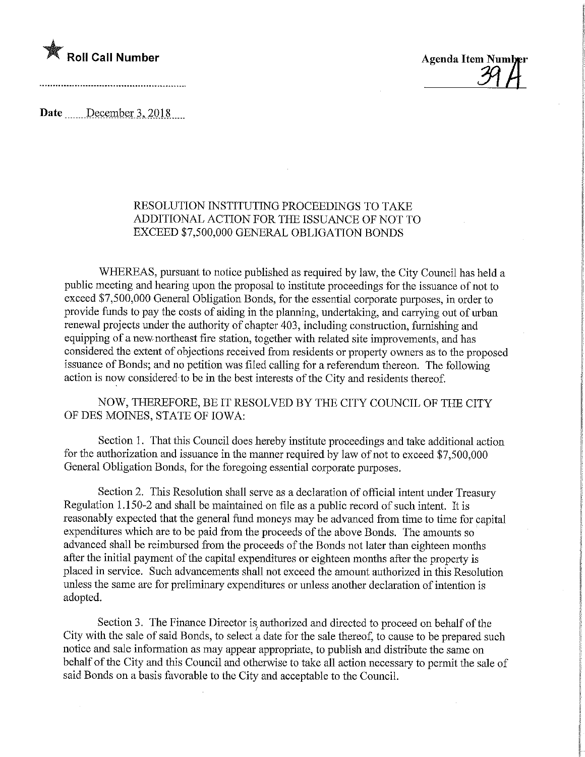

<u>Y\</u>

Date December 3, 2018

## RESOLUTION INSTITUTING PROCEEDINGS TO TAKE ADDITIONAL ACTION FOR THE ISSUANCE OF NOT TO EXCEED \$7,500,000 GENERAL OBLIGATION BONDS

WHEREAS, pursuant to notice published as required by law, the City Council has held a public meeting and hearing upon the proposal to institute proceedings for the issuance of not to exceed \$7,500,000 General Obligation Bonds, for the essential corporate purposes, in order to provide funds to pay the costs of aiding in the planning, undertaking, and carrying out of urban renewal projects under the authority of chapter 403, including construction, furnishing and equipping of a new/northeast fire station, together with related site improvements, and has considered the extent of objections received from residents or property owners as to the proposed issuance of Bonds; and no petition was filed calling for a referendum thereon. The following action is now considered to be in the best interests of the City and residents thereof.

NOW, THEREFORE, BE IT RESOLVED BY THE CITY COUNCIL OF THE CITY OF DES MOINES, STATE OF IOWA:

Section 1. That this Council does hereby institute proceedmgs and take additional action for the authorization and issuance in the manner required by law of not to exceed \$7,500,000 General Obligation Bonds, for the foregoing essential corporate purposes.

Section 2. This Resolution shall serve as a declaration of official intent under Treasury Regulation 1.150-2 and shall be maintained on file as a public record of such intent. It is reasonably expected that the general fund moneys may be advanced from time to time for capital expenditures which are to be paid from the proceeds of the above Bonds. The amounts so advanced shall be reimbursed from the proceeds of the Bonds not later than eighteen months after the initial payment of the capital expenditures or eighteen months after the property is placed in service. Such advancements shall not exceed the amount authorized in this Resolution unless the same are for preliminary expenditures or unless another declaration of intention is adopted.

Section 3. The Finance Director is authorized and directed to proceed on behalf of the City with the sale of said Bonds, to select a date for the sale thereof, to cause to be prepared such notice and sale infonnation as may appear appropriate, to publish and distribute the same on behalf of the City and this Council and otherwise to take all action necessary to permit the sale of said Bonds on a basis favorable to the City and acceptable to the Council.